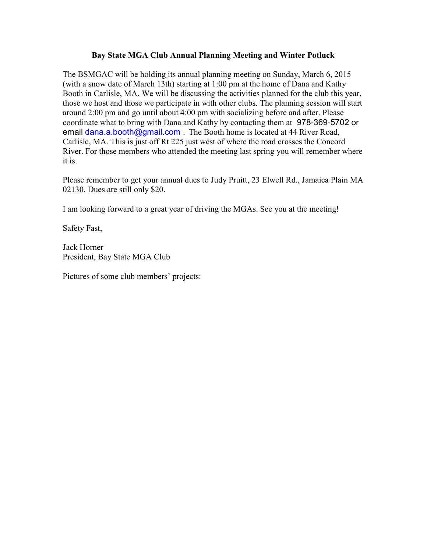## Bay State MGA Club Annual Planning Meeting and Winter Potluck

The BSMGAC will be holding its annual planning meeting on Sunday, March 6, 2015 (with a snow date of March 13th) starting at 1:00 pm at the home of Dana and Kathy Booth in Carlisle, MA. We will be discussing the activities planned for the club this year, those we host and those we participate in with other clubs. The planning session will start around 2:00 pm and go until about 4:00 pm with socializing before and after. Please coordinate what to bring with Dana and Kathy by contacting them at 978-369-5702 or email dana.a.booth@gmail.com . The Booth home is located at 44 River Road, Carlisle, MA. This is just off Rt 225 just west of where the road crosses the Concord River. For those members who attended the meeting last spring you will remember where it is.

Please remember to get your annual dues to Judy Pruitt, 23 Elwell Rd., Jamaica Plain MA 02130. Dues are still only \$20.

I am looking forward to a great year of driving the MGAs. See you at the meeting!

Safety Fast,

Jack Horner President, Bay State MGA Club

Pictures of some club members' projects: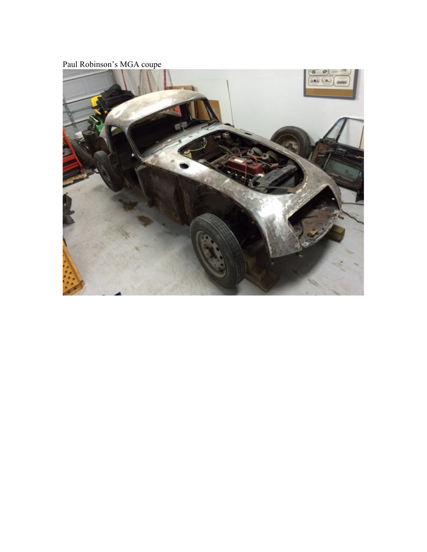Paul Robinson's MGA coupe